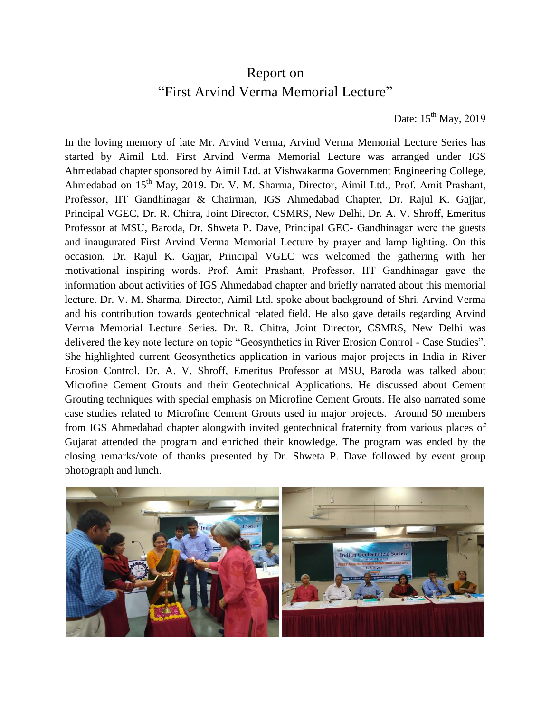## Report on "First Arvind Verma Memorial Lecture"

Date:  $15<sup>th</sup>$  May, 2019

In the loving memory of late Mr. Arvind Verma, Arvind Verma Memorial Lecture Series has started by Aimil Ltd. First Arvind Verma Memorial Lecture was arranged under IGS Ahmedabad chapter sponsored by Aimil Ltd. at Vishwakarma Government Engineering College, Ahmedabad on 15<sup>th</sup> May, 2019. Dr. V. M. Sharma, Director, Aimil Ltd., Prof. Amit Prashant, Professor, IIT Gandhinagar & Chairman, IGS Ahmedabad Chapter, Dr. Rajul K. Gajjar, Principal VGEC, Dr. R. Chitra, Joint Director, CSMRS, New Delhi, Dr. A. V. Shroff, Emeritus Professor at MSU, Baroda, Dr. Shweta P. Dave, Principal GEC- Gandhinagar were the guests and inaugurated First Arvind Verma Memorial Lecture by prayer and lamp lighting. On this occasion, Dr. Rajul K. Gajjar, Principal VGEC was welcomed the gathering with her motivational inspiring words. Prof. Amit Prashant, Professor, IIT Gandhinagar gave the information about activities of IGS Ahmedabad chapter and briefly narrated about this memorial lecture. Dr. V. M. Sharma, Director, Aimil Ltd. spoke about background of Shri. Arvind Verma and his contribution towards geotechnical related field. He also gave details regarding Arvind Verma Memorial Lecture Series. Dr. R. Chitra, Joint Director, CSMRS, New Delhi was delivered the key note lecture on topic "Geosynthetics in River Erosion Control - Case Studies". She highlighted current Geosynthetics application in various major projects in India in River Erosion Control. Dr. A. V. Shroff, Emeritus Professor at MSU, Baroda was talked about Microfine Cement Grouts and their Geotechnical Applications. He discussed about Cement Grouting techniques with special emphasis on Microfine Cement Grouts. He also narrated some case studies related to Microfine Cement Grouts used in major projects. Around 50 members from IGS Ahmedabad chapter alongwith invited geotechnical fraternity from various places of Gujarat attended the program and enriched their knowledge. The program was ended by the closing remarks/vote of thanks presented by Dr. Shweta P. Dave followed by event group photograph and lunch.